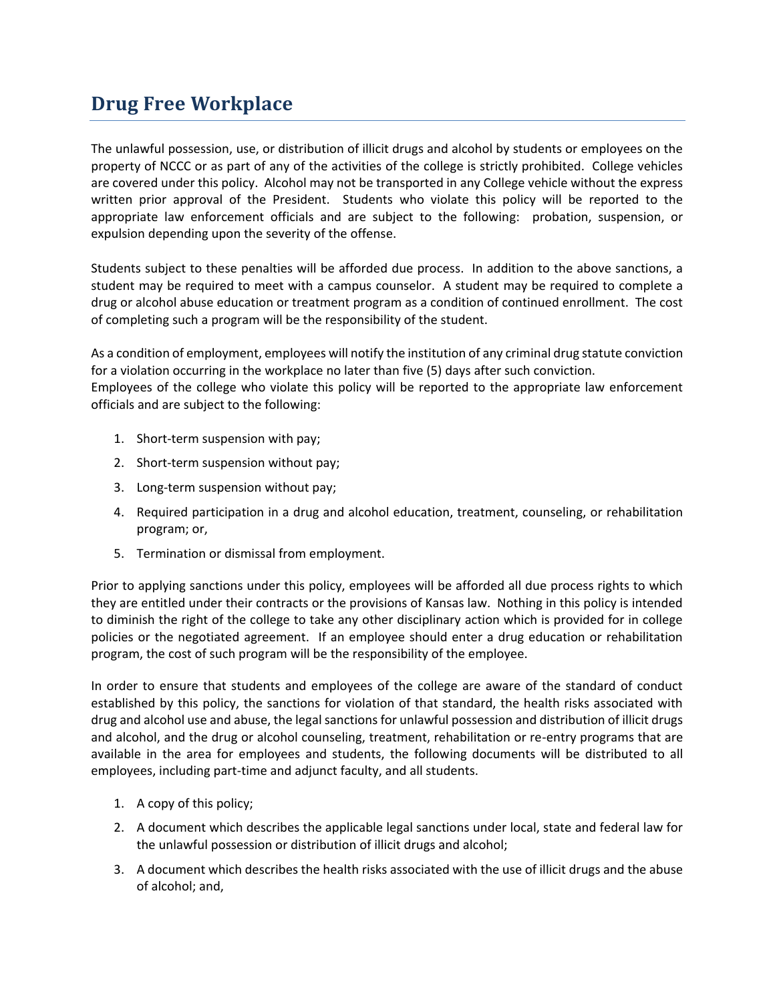## **Drug Free Workplace**

The unlawful possession, use, or distribution of illicit drugs and alcohol by students or employees on the property of NCCC or as part of any of the activities of the college is strictly prohibited. College vehicles are covered under this policy. Alcohol may not be transported in any College vehicle without the express written prior approval of the President. Students who violate this policy will be reported to the appropriate law enforcement officials and are subject to the following: probation, suspension, or expulsion depending upon the severity of the offense.

Students subject to these penalties will be afforded due process. In addition to the above sanctions, a student may be required to meet with a campus counselor. A student may be required to complete a drug or alcohol abuse education or treatment program as a condition of continued enrollment. The cost of completing such a program will be the responsibility of the student.

As a condition of employment, employees will notify the institution of any criminal drug statute conviction for a violation occurring in the workplace no later than five (5) days after such conviction. Employees of the college who violate this policy will be reported to the appropriate law enforcement officials and are subject to the following:

- 1. Short-term suspension with pay;
- 2. Short-term suspension without pay;
- 3. Long-term suspension without pay;
- 4. Required participation in a drug and alcohol education, treatment, counseling, or rehabilitation program; or,
- 5. Termination or dismissal from employment.

Prior to applying sanctions under this policy, employees will be afforded all due process rights to which they are entitled under their contracts or the provisions of Kansas law. Nothing in this policy is intended to diminish the right of the college to take any other disciplinary action which is provided for in college policies or the negotiated agreement. If an employee should enter a drug education or rehabilitation program, the cost of such program will be the responsibility of the employee.

In order to ensure that students and employees of the college are aware of the standard of conduct established by this policy, the sanctions for violation of that standard, the health risks associated with drug and alcohol use and abuse, the legal sanctions for unlawful possession and distribution of illicit drugs and alcohol, and the drug or alcohol counseling, treatment, rehabilitation or re-entry programs that are available in the area for employees and students, the following documents will be distributed to all employees, including part-time and adjunct faculty, and all students.

- 1. A copy of this policy;
- 2. A document which describes the applicable legal sanctions under local, state and federal law for the unlawful possession or distribution of illicit drugs and alcohol;
- 3. A document which describes the health risks associated with the use of illicit drugs and the abuse of alcohol; and,